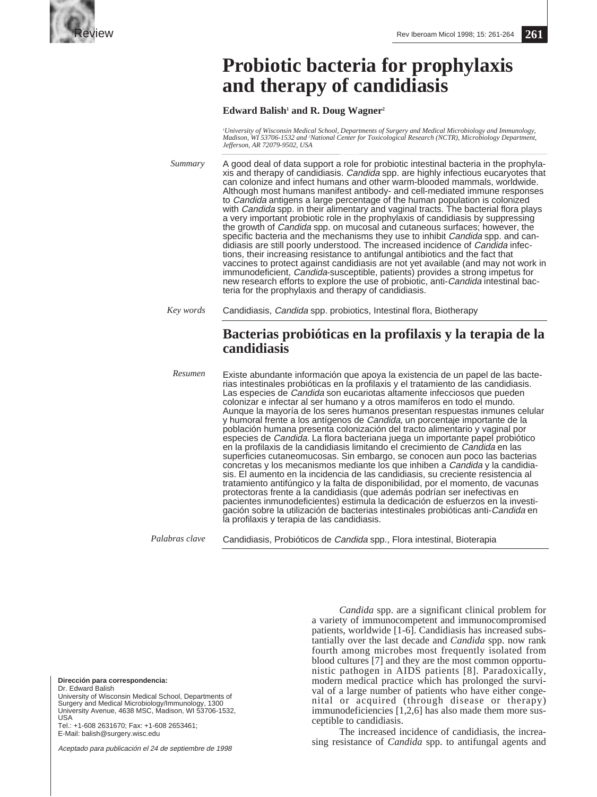

# **Probiotic bacteria for prophylaxis and therapy of candidiasis**

### Edward Balish<sup>1</sup> and R. Doug Wagner<sup>2</sup>

*1 University of Wisconsin Medical School, Departments of Surgery and Medical Microbiology and Immunology, Madison, WI 53706-1532 and 2 National Center for Toxicological Research (NCTR), Microbiology Department, Jefferson, AR 72079-9502, USA*

*Summary* A good deal of data support a role for probiotic intestinal bacteria in the prophylaxis and therapy of candidiasis. Candida spp. are highly infectious eucaryotes that can colonize and infect humans and other warm-blooded mammals, worldwide. Although most humans manifest antibody- and cell-mediated immune responses to Candida antigens a large percentage of the human population is colonized with *Candida* spp. in their alimentary and vaginal tracts. The bacterial flora plays a very important probiotic role in the prophylaxis of candidiasis by suppressing the growth of Candida spp. on mucosal and cutaneous surfaces; however, the specific bacteria and the mechanisms they use to inhibit Candida spp. and candidiasis are still poorly understood. The increased incidence of Candida infections, their increasing resistance to antifungal antibiotics and the fact that vaccines to protect against candidiasis are not yet available (and may not work in immunodeficient, Candida-susceptible, patients) provides a strong impetus for new research efforts to explore the use of probiotic, anti-Candida intestinal bacteria for the prophylaxis and therapy of candidiasis.

*Key words* Candidiasis, Candida spp. probiotics, Intestinal flora, Biotherapy

## **Bacterias probióticas en la profilaxis y la terapia de la candidiasis**

Existe abundante información que apoya la existencia de un papel de las bacterias intestinales probióticas en la profilaxis y el tratamiento de las candidiasis. Las especies de Candida son eucariotas altamente infecciosos que pueden colonizar e infectar al ser humano y a otros mamíferos en todo el mundo. Aunque la mayoría de los seres humanos presentan respuestas inmunes celular y humoral frente a los antígenos de Candida, un porcentaje importante de la población humana presenta colonización del tracto alimentario y vaginal por especies de Candida. La flora bacteriana juega un importante papel probiótico en la profilaxis de la candidiasis limitando el crecimiento de Candida en las superficies cutaneomucosas. Sin embargo, se conocen aun poco las bacterias concretas y los mecanismos mediante los que inhiben a Candida y la candidiasis. El aumento en la incidencia de las candidiasis, su creciente resistencia al tratamiento antifúngico y la falta de disponibilidad, por el momento, de vacunas protectoras frente a la candidiasis (que además podrían ser inefectivas en pacientes inmunodeficientes) estimula la dedicación de esfuerzos en la investigación sobre la utilización de bacterias intestinales probióticas anti-Candida en la profilaxis y terapia de las candidiasis. *Resumen*

Candidiasis, Probióticos de Candida spp., Flora intestinal, Bioterapia *Palabras clave*

**Dirección para correspondencia:**

Dr. Edward Balish

University of Wisconsin Medical School, Departments of Surgery and Medical Microbiology/Immunology, 1300 University Avenue, 4638 MSC, Madison, WI 53706-1532, USA Tel.: +1-608 2631670; Fax: +1-608 2653461;

E-Mail: balish@surgery.wisc.edu

Aceptado para publicación el 24 de septiembre de 1998

*Candida* spp. are a significant clinical problem for a variety of immunocompetent and immunocompromised patients, worldwide [1-6]. Candidiasis has increased substantially over the last decade and *Candida* spp. now rank fourth among microbes most frequently isolated from blood cultures [7] and they are the most common opportunistic pathogen in AIDS patients [8]. Paradoxically, modern medical practice which has prolonged the survival of a large number of patients who have either congenital or acquired (through disease or therapy) immunodeficiencies [1,2,6] has also made them more susceptible to candidiasis.

The increased incidence of candidiasis, the increasing resistance of *Candida* spp. to antifungal agents and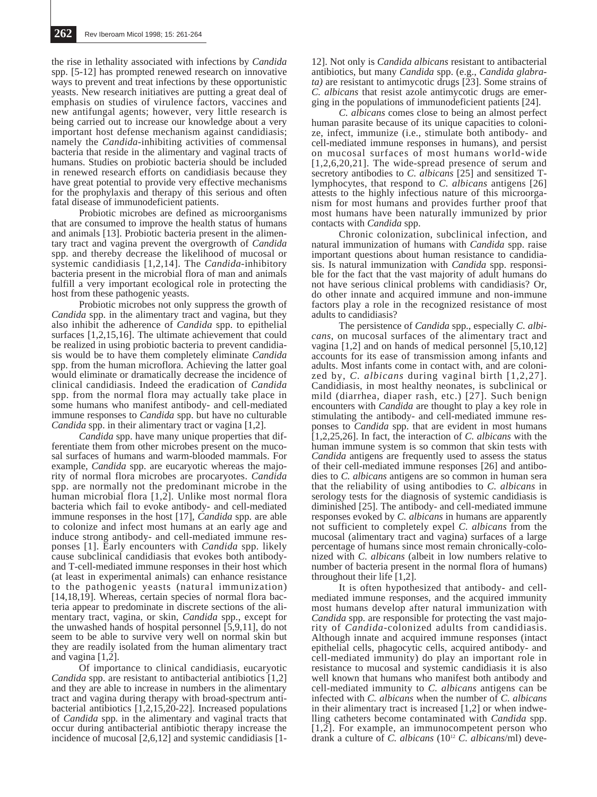the rise in lethality associated with infections by *Candida* spp. [5-12] has prompted renewed research on innovative ways to prevent and treat infections by these opportunistic yeasts. New research initiatives are putting a great deal of emphasis on studies of virulence factors, vaccines and new antifungal agents; however, very little research is being carried out to increase our knowledge about a very important host defense mechanism against candidiasis; namely the *Candida*-inhibiting activities of commensal bacteria that reside in the alimentary and vaginal tracts of humans. Studies on probiotic bacteria should be included in renewed research efforts on candidiasis because they have great potential to provide very effective mechanisms for the prophylaxis and therapy of this serious and often fatal disease of immunodeficient patients.

Probiotic microbes are defined as microorganisms that are consumed to improve the health status of humans and animals [13]. Probiotic bacteria present in the alimentary tract and vagina prevent the overgrowth of *Candida* spp. and thereby decrease the likelihood of mucosal or systemic candidiasis [1,2,14]. The *Candida*-inhibitory bacteria present in the microbial flora of man and animals fulfill a very important ecological role in protecting the host from these pathogenic yeasts.

Probiotic microbes not only suppress the growth of *Candida* spp. in the alimentary tract and vagina, but they also inhibit the adherence of *Candida* spp. to epithelial surfaces [1,2,15,16]. The ultimate achievement that could be realized in using probiotic bacteria to prevent candidiasis would be to have them completely eliminate *Candida* spp. from the human microflora. Achieving the latter goal would eliminate or dramatically decrease the incidence of clinical candidiasis. Indeed the eradication of *Candida* spp. from the normal flora may actually take place in some humans who manifest antibody- and cell-mediated immune responses to *Candida* spp. but have no culturable *Candida* spp. in their alimentary tract or vagina [1,2].

*Candida* spp. have many unique properties that differentiate them from other microbes present on the mucosal surfaces of humans and warm-blooded mammals. For example, *Candida* spp. are eucaryotic whereas the majority of normal flora microbes are procaryotes. *Candida* spp. are normally not the predominant microbe in the human microbial flora  $[1,2]$ . Unlike most normal flora bacteria which fail to evoke antibody- and cell-mediated immune responses in the host [17], *Candida* spp. are able to colonize and infect most humans at an early age and induce strong antibody- and cell-mediated immune responses [1]. Early encounters with *Candida* spp. likely cause subclinical candidiasis that evokes both antibodyand T-cell-mediated immune responses in their host which (at least in experimental animals) can enhance resistance to the pathogenic yeasts (natural immunization) [14,18,19]. Whereas, certain species of normal flora bacteria appear to predominate in discrete sections of the alimentary tract, vagina, or skin, *Candida* spp., except for the unwashed hands of hospital personnel [5,9,11], do not seem to be able to survive very well on normal skin but they are readily isolated from the human alimentary tract and vagina [1,2].

Of importance to clinical candidiasis, eucaryotic *Candida* spp. are resistant to antibacterial antibiotics [1,2] and they are able to increase in numbers in the alimentary tract and vagina during therapy with broad-spectrum antibacterial antibiotics  $[1,2,15,20-22]$ . Increased populations of *Candida* spp. in the alimentary and vaginal tracts that occur during antibacterial antibiotic therapy increase the incidence of mucosal [2,6,12] and systemic candidiasis [1-

12]. Not only is *Candida albicans* resistant to antibacterial antibiotics, but many *Candida* spp. (e.g., *Candida glabrata)* are resistant to antimycotic drugs [23]. Some strains of *C. albicans* that resist azole antimycotic drugs are emerging in the populations of immunodeficient patients [24].

*C. albicans* comes close to being an almost perfect human parasite because of its unique capacities to colonize, infect, immunize (i.e., stimulate both antibody- and cell-mediated immune responses in humans), and persist on mucosal surfaces of most humans world-wide [1,2,6,20,21]. The wide-spread presence of serum and secretory antibodies to *C. albicans* [25] and sensitized Tlymphocytes, that respond to *C. albicans* antigens [26] attests to the highly infectious nature of this microorganism for most humans and provides further proof that most humans have been naturally immunized by prior contacts with *Candida* spp.

Chronic colonization, subclinical infection, and natural immunization of humans with *Candida* spp. raise important questions about human resistance to candidiasis. Is natural immunization with *Candida* spp. responsible for the fact that the vast majority of adult humans do not have serious clinical problems with candidiasis? Or, do other innate and acquired immune and non-immune factors play a role in the recognized resistance of most adults to candidiasis?

The persistence of *Candida* spp., especially *C. albicans*, on mucosal surfaces of the alimentary tract and vagina [1,2] and on hands of medical personnel [5,10,12] accounts for its ease of transmission among infants and adults. Most infants come in contact with, and are colonized by, *C. albicans* during vaginal birth [1,2,27]. Candidiasis, in most healthy neonates, is subclinical or mild (diarrhea, diaper rash, etc.) [27]. Such benign encounters with *Candida* are thought to play a key role in stimulating the antibody- and cell-mediated immune responses to *Candida* spp. that are evident in most humans [1,2,25,26]. In fact, the interaction of *C. albicans* with the human immune system is so common that skin tests with *Candida* antigens are frequently used to assess the status of their cell-mediated immune responses [26] and antibodies to *C. albicans* antigens are so common in human sera that the reliability of using antibodies to *C. albicans* in serology tests for the diagnosis of systemic candidiasis is diminished [25]. The antibody- and cell-mediated immune responses evoked by *C. albicans* in humans are apparently not sufficient to completely expel *C. albicans* from the mucosal (alimentary tract and vagina) surfaces of a large percentage of humans since most remain chronically-colonized with *C. albicans* (albeit in low numbers relative to number of bacteria present in the normal flora of humans) throughout their life [1,2].

It is often hypothesized that antibody- and cellmediated immune responses, and the acquired immunity most humans develop after natural immunization with *Candida* spp. are responsible for protecting the vast majority of *Candida*-colonized adults from candidiasis. Although innate and acquired immune responses (intact epithelial cells, phagocytic cells, acquired antibody- and cell-mediated immunity) do play an important role in resistance to mucosal and systemic candidiasis it is also well known that humans who manifest both antibody and cell-mediated immunity to *C. albicans* antigens can be infected with *C. albicans* when the number of *C. albicans* in their alimentary tract is increased [1,2] or when indwelling catheters become contaminated with *Candida* spp.  $[1,2]$ . For example, an immunocompetent person who drank a culture of *C. albicans* (1012 *C. albicans*/ml) deve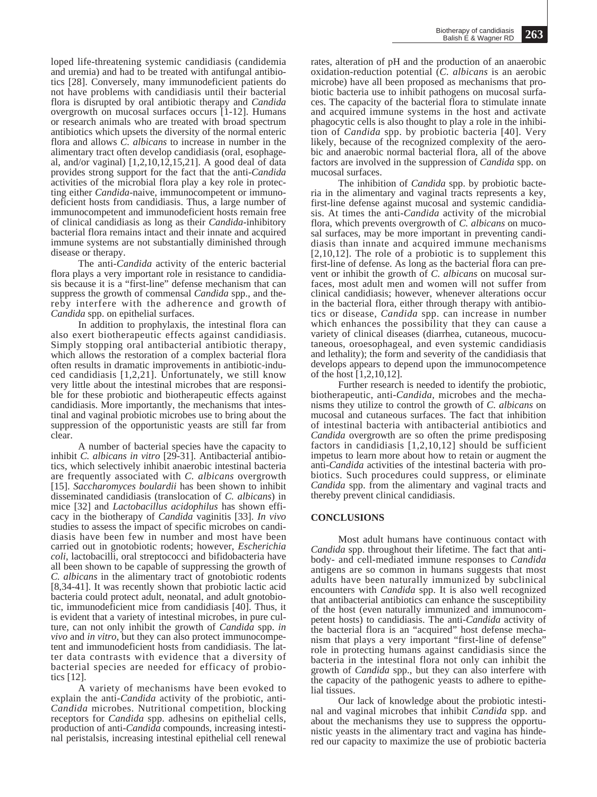loped life-threatening systemic candidiasis (candidemia and uremia) and had to be treated with antifungal antibiotics [28]. Conversely, many immunodeficient patients do not have problems with candidiasis until their bacterial flora is disrupted by oral antibiotic therapy and *Candida* overgrowth on mucosal surfaces occurs [1-12]. Humans or research animals who are treated with broad spectrum antibiotics which upsets the diversity of the normal enteric flora and allows *C. albicans* to increase in number in the alimentary tract often develop candidiasis (oral, esophageal, and/or vaginal)  $[1,2,10,12,15,21]$ . A good deal of data provides strong support for the fact that the anti-*Candida* activities of the microbial flora play a key role in protecting either *Candida*-naive, immunocompetent or immunodeficient hosts from candidiasis. Thus, a large number of immunocompetent and immunodeficient hosts remain free of clinical candidiasis as long as their *Candida*-inhibitory bacterial flora remains intact and their innate and acquired immune systems are not substantially diminished through disease or therapy.

The anti-*Candida* activity of the enteric bacterial flora plays a very important role in resistance to candidiasis because it is a "first-line" defense mechanism that can suppress the growth of commensal *Candida* spp., and thereby interfere with the adherence and growth of *Candida* spp. on epithelial surfaces.

In addition to prophylaxis, the intestinal flora can also exert biotherapeutic effects against candidiasis. Simply stopping oral antibacterial antibiotic therapy, which allows the restoration of a complex bacterial flora often results in dramatic improvements in antibiotic-induced candidiasis  $[1,2,21]$ . Unfortunately, we still know very little about the intestinal microbes that are responsible for these probiotic and biotherapeutic effects against candidiasis. More importantly, the mechanisms that intestinal and vaginal probiotic microbes use to bring about the suppression of the opportunistic yeasts are still far from clear.

A number of bacterial species have the capacity to inhibit *C. albicans in vitro* [29-31]. Antibacterial antibiotics, which selectively inhibit anaerobic intestinal bacteria are frequently associated with *C. albicans* overgrowth [15]. *Saccharomyces boulardii* has been shown to inhibit disseminated candidiasis (translocation of *C. albicans*) in mice [32] and *Lactobacillus acidophilus* has shown efficacy in the biotherapy of *Candida* vaginitis [33]. *In vivo* studies to assess the impact of specific microbes on candidiasis have been few in number and most have been carried out in gnotobiotic rodents; however, *Escherichia coli*, lactobacilli, oral streptococci and bifidobacteria have all been shown to be capable of suppressing the growth of *C. albicans* in the alimentary tract of gnotobiotic rodents [8,34-41]. It was recently shown that probiotic lactic acid bacteria could protect adult, neonatal, and adult gnotobiotic, immunodeficient mice from candidiasis [40]. Thus, it is evident that a variety of intestinal microbes, in pure culture, can not only inhibit the growth of *Candida* spp. *in vivo* and *in vitro*, but they can also protect immunocompetent and immunodeficient hosts from candidiasis. The latter data contrasts with evidence that a diversity of bacterial species are needed for efficacy of probiotics [12].

A variety of mechanisms have been evoked to explain the anti-*Candida* activity of the probiotic, anti-*Candida* microbes. Nutritional competition, blocking receptors for *Candida* spp. adhesins on epithelial cells, production of anti-*Candida* compounds, increasing intestinal peristalsis, increasing intestinal epithelial cell renewal rates, alteration of pH and the production of an anaerobic oxidation-reduction potential (*C. albicans* is an aerobic microbe) have all been proposed as mechanisms that probiotic bacteria use to inhibit pathogens on mucosal surfaces. The capacity of the bacterial flora to stimulate innate and acquired immune systems in the host and activate phagocytic cells is also thought to play a role in the inhibition of *Candida* spp. by probiotic bacteria [40]. Very likely, because of the recognized complexity of the aerobic and anaerobic normal bacterial flora, all of the above factors are involved in the suppression of *Candida* spp. on mucosal surfaces.

The inhibition of *Candida* spp. by probiotic bacteria in the alimentary and vaginal tracts represents a key, first-line defense against mucosal and systemic candidiasis. At times the anti-*Candida* activity of the microbial flora, which prevents overgrowth of *C. albicans* on mucosal surfaces, may be more important in preventing candidiasis than innate and acquired immune mechanisms [2,10,12]. The role of a probiotic is to supplement this first-line of defense. As long as the bacterial flora can prevent or inhibit the growth of *C. albicans* on mucosal surfaces, most adult men and women will not suffer from clinical candidiasis; however, whenever alterations occur in the bacterial flora, either through therapy with antibiotics or disease, *Candida* spp. can increase in number which enhances the possibility that they can cause a variety of clinical diseases (diarrhea, cutaneous, mucocutaneous, oroesophageal, and even systemic candidiasis and lethality); the form and severity of the candidiasis that develops appears to depend upon the immunocompetence of the host [1,2,10,12].

Further research is needed to identify the probiotic, biotherapeutic, anti-*Candida*, microbes and the mechanisms they utilize to control the growth of *C. albicans* on mucosal and cutaneous surfaces. The fact that inhibition of intestinal bacteria with antibacterial antibiotics and *Candida* overgrowth are so often the prime predisposing factors in candidiasis  $[1,2,10,12]$  should be sufficient impetus to learn more about how to retain or augment the anti-*Candida* activities of the intestinal bacteria with probiotics. Such procedures could suppress, or eliminate *Candida* spp. from the alimentary and vaginal tracts and thereby prevent clinical candidiasis.

### **CONCLUSIONS**

Most adult humans have continuous contact with *Candida* spp. throughout their lifetime. The fact that antibody- and cell-mediated immune responses to *Candida* antigens are so common in humans suggests that most adults have been naturally immunized by subclinical encounters with *Candida* spp. It is also well recognized that antibacterial antibiotics can enhance the susceptibility of the host (even naturally immunized and immunocompetent hosts) to candidiasis. The anti-*Candida* activity of the bacterial flora is an "acquired" host defense mechanism that plays a very important "first-line of defense" role in protecting humans against candidiasis since the bacteria in the intestinal flora not only can inhibit the growth of *Candida* spp., but they can also interfere with the capacity of the pathogenic yeasts to adhere to epithelial tissues.

Our lack of knowledge about the probiotic intestinal and vaginal microbes that inhibit *Candida* spp. and about the mechanisms they use to suppress the opportunistic yeasts in the alimentary tract and vagina has hindered our capacity to maximize the use of probiotic bacteria